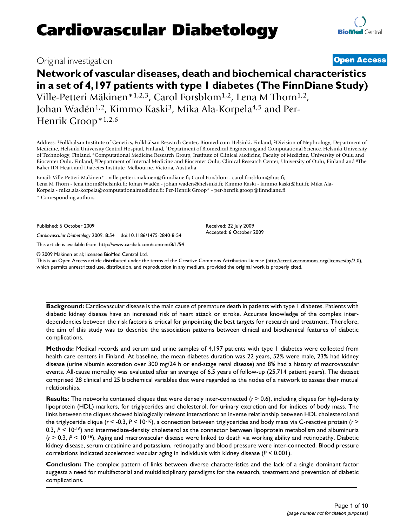# Original investigation **[Open Access](http://www.biomedcentral.com/info/about/charter/)**

# **Network of vascular diseases, death and biochemical characteristics in a set of 4,197 patients with type 1 diabetes (The FinnDiane Study)** Ville-Petteri Mäkinen\*<sup>1,2,3</sup>, Carol Forsblom<sup>1,2</sup>, Lena M Thorn<sup>1,2</sup>, Johan Wadén<sup>1,2</sup>, Kimmo Kaski<sup>3</sup>, Mika Ala-Korpela<sup>4,5</sup> and Per-

Henrik Groop\*1,2,6

Address: 1Folkhälsan Institute of Genetics, Folkhälsan Research Center, Biomedicum Helsinki, Finland, 2Division of Nephrology, Department of Medicine, Helsinki University Central Hospital, Finland, 3Department of Biomedical Engineering and Computational Science, Helsinki University of Technology, Finland, 4Computational Medicine Research Group, Institute of Clinical Medicine, Faculty of Medicine, University of Oulu and Biocenter Oulu, Finland, 5Department of Internal Medicine and Biocenter Oulu, Clinical Research Center, University of Oulu, Finland and 6The Baker IDI Heart and Diabetes Institute, Melbourne, Victoria, Australia

Email: Ville-Petteri Mäkinen\* - ville-petteri.makinen@finndiane.fi; Carol Forsblom - carol.forsblom@hus.fi; Lena M Thorn - lena.thorn@helsinki.fi; Johan Wadén - johan.waden@helsinki.fi; Kimmo Kaski - kimmo.kaski@hut.fi; Mika Ala-Korpela - mika.ala-korpela@computationalmedicine.fi; Per-Henrik Groop\* - per-henrik.groop@finndiane.fi \* Corresponding authors

Published: 6 October 2009

*Cardiovascular Diabetology* 2009, **8**:54 doi:10.1186/1475-2840-8-54

[This article is available from: http://www.cardiab.com/content/8/1/54](http://www.cardiab.com/content/8/1/54)

© 2009 Mäkinen et al; licensee BioMed Central Ltd.

This is an Open Access article distributed under the terms of the Creative Commons Attribution License [\(http://creativecommons.org/licenses/by/2.0\)](http://creativecommons.org/licenses/by/2.0), which permits unrestricted use, distribution, and reproduction in any medium, provided the original work is properly cited.

**Background:** Cardiovascular disease is the main cause of premature death in patients with type 1 diabetes. Patients with diabetic kidney disease have an increased risk of heart attack or stroke. Accurate knowledge of the complex interdependencies between the risk factors is critical for pinpointing the best targets for research and treatment. Therefore, the aim of this study was to describe the association patterns between clinical and biochemical features of diabetic complications.

**Methods:** Medical records and serum and urine samples of 4,197 patients with type 1 diabetes were collected from health care centers in Finland. At baseline, the mean diabetes duration was 22 years, 52% were male, 23% had kidney disease (urine albumin excretion over 300 mg/24 h or end-stage renal disease) and 8% had a history of macrovascular events. All-cause mortality was evaluated after an average of 6.5 years of follow-up (25,714 patient years). The dataset comprised 28 clinical and 25 biochemical variables that were regarded as the nodes of a network to assess their mutual relationships.

**Results:** The networks contained cliques that were densely inter-connected ( $r$  > 0.6), including cliques for high-density lipoprotein (HDL) markers, for triglycerides and cholesterol, for urinary excretion and for indices of body mass. The links between the cliques showed biologically relevant interactions: an inverse relationship between HDL cholesterol and the triglyceride clique (*r* < -0.3, *P* < 10-16), a connection between triglycerides and body mass via C-reactive protein (*r* > 0.3,  $P < 10^{-16}$ ) and intermediate-density cholesterol as the connector between lipoprotein metabolism and albuminuria (*r* > 0.3, *P* < 10-16). Aging and macrovascular disease were linked to death via working ability and retinopathy. Diabetic kidney disease, serum creatinine and potassium, retinopathy and blood pressure were inter-connected. Blood pressure correlations indicated accelerated vascular aging in individuals with kidney disease (*P* < 0.001).

**Conclusion:** The complex pattern of links between diverse characteristics and the lack of a single dominant factor suggests a need for multifactorial and multidisciplinary paradigms for the research, treatment and prevention of diabetic complications.

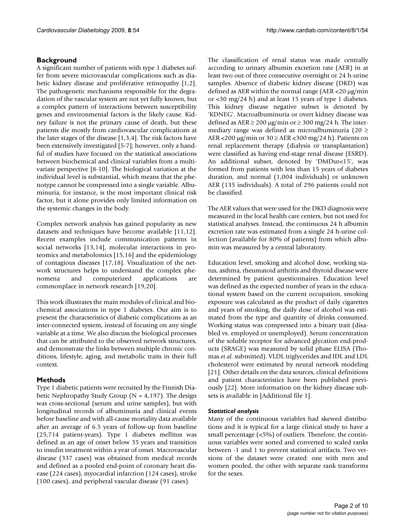# **Background**

A significant number of patients with type 1 diabetes suffer from severe microvascular complications such as diabetic kidney disease and proliferative retinopathy [1,2]. The pathogenetic mechanisms responsible for the degradation of the vascular system are not yet fully known, but a complex pattern of interactions between susceptibility genes and environmental factors is the likely cause. Kidney failure is not the primary cause of death, but these patients die mostly from cardiovascular complications at the later stages of the disease [1,3,4]. The risk factors have been extensively investigated [5-7]; however, only a handful of studies have focused on the statistical associations between biochemical and clinical variables from a multivariate perspective [8-10]. The biological variation at the individual level is substantial, which means that the phenotype cannot be compressed into a single variable. Albuminuria, for instance, is the most important clinical risk factor, but it alone provides only limited information on the systemic changes in the body.

Complex network analysis has gained popularity as new datasets and techniques have become available [11,12]. Recent examples include communication patterns in social networks [13,14], molecular interactions in proteomics and metabolomics [15,16] and the epidemiology of contagious diseases [17,18]. Visualization of the network structures helps to understand the complex phenomena and computerized applications are commonplace in network research [19,20].

This work illustrates the main modules of clinical and biochemical associations in type 1 diabetes. Our aim is to present the characteristics of diabetic complications as an inter-connected system, instead of focusing on any single variable at a time. We also discuss the biological processes that can be attributed to the observed network structures, and demonstrate the links between multiple chronic conditions, lifestyle, aging, and metabolic traits in their full context.

# **Methods**

Type 1 diabetic patients were recruited by the Finnish Diabetic Nephropathy Study Group ( $N = 4,197$ ). The design was cross-sectional (serum and urine samples), but with longitudinal records of albuminuria and clinical events before baseline and with all-cause mortality data available after an average of 6.5 years of follow-up from baseline (25,714 patient-years). Type 1 diabetes mellitus was defined as an age of onset below 35 years and transition to insulin treatment within a year of onset. Macrovascular disease (337 cases) was obtained from medical records and defined as a pooled end-point of coronary heart disease (224 cases), myocardial infarction (124 cases), stroke (100 cases), and peripheral vascular disease (91 cases).

The classification of renal status was made centrally according to urinary albumin excretion rate (AER) in at least two out of three consecutive overnight or 24 h-urine samples. Absence of diabetic kidney disease (DKD) was defined as AER within the normal range (AER <20 μg/min or <30 mg/24 h) and at least 15 years of type 1 diabetes. This kidney disease negative subset is denoted by 'KDNEG'. Macroalbuminuria or overt kidney disease was defined as  $AER \ge 200 \mu g/min$  or  $\ge 300 \mu g/24$  h. The intermediary range was defined as microalbuminuria (20  $\geq$ AER <200  $\mu$ g/min or 30  $\geq$  AER <300 mg/24 h). Patients on renal replacement therapy (dialysis or transplantation) were classified as having end-stage renal disease (ESRD). An additional subset, denoted by 'DMDur<15', was formed from patients with less than 15 years of diabetes duration, and normal (1,004 individuals) or unknown AER (135 individuals). A total of 296 patients could not be classified.

The AER values that were used for the DKD diagnosis were measured in the local health care centers, but not used for statistical analyses. Instead, the continuous 24 h albumin excretion rate was estimated from a single 24 h-urine collection (available for 80% of patients) from which albumin was measured by a central laboratory.

Education level, smoking and alcohol dose, working status, asthma, rheumatoid arthritis and thyroid disease were determined by patient questionnaires. Education level was defined as the expected number of years in the educational system based on the current occupation, smoking exposure was calculated as the product of daily cigarettes and years of smoking, the daily dose of alcohol was estimated from the type and quantity of drinks consumed. Working status was compressed into a binary trait (disabled vs. employed or unemployed). Serum concentration of the soluble receptor for advanced glycation end-products (SRAGE) was measured by solid phase ELISA (Thomas *et al*. submitted). VLDL triglycerides and IDL and LDL cholesterol were estimated by neural network modeling [[21](#page-8-0)]. Other details on the data sources, clinical definitions and patient characteristics have been published previously [22]. More information on the kidney disease subsets is available in [Additional file 1].

### *Statistical analysis*

Many of the continuous variables had skewed distributions and it is typical for a large clinical study to have a small percentage (<5%) of outliers. Therefore, the continuous variables were sorted and converted to scaled ranks between -1 and 1 to prevent statistical artifacts. Two versions of the dataset were created: one with men and women pooled, the other with separate rank transforms for the sexes.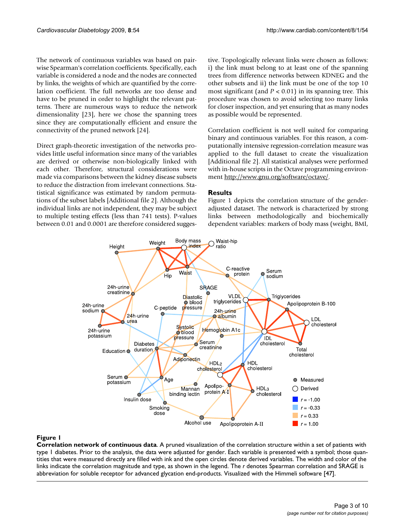The network of continuous variables was based on pairwise Spearman's correlation coefficients. Specifically, each variable is considered a node and the nodes are connected by links, the weights of which are quantified by the correlation coefficient. The full networks are too dense and have to be pruned in order to highlight the relevant patterns. There are numerous ways to reduce the network dimensionality [23], here we chose the spanning trees since they are computationally efficient and ensure the connectivity of the pruned network [24].

Direct graph-theoretic investigation of the networks provides little useful information since many of the variables are derived or otherwise non-biologically linked with each other. Therefore, structural considerations were made via comparisons between the kidney disease subsets to reduce the distraction from irrelevant connections. Statistical significance was estimated by random permutations of the subset labels [Additional file 2]. Although the individual links are not independent, they may be subject to multiple testing effects (less than 741 tests). P-values between 0.01 and 0.0001 are therefore considered suggestive. Topologically relevant links were chosen as follows: i) the link must belong to at least one of the spanning trees from difference networks between KDNEG and the other subsets and ii) the link must be one of the top 10 most significant (and *P* < 0.01) in its spanning tree. This procedure was chosen to avoid selecting too many links for closer inspection, and yet ensuring that as many nodes as possible would be represented.

Correlation coefficient is not well suited for comparing binary and continuous variables. For this reason, a computationally intensive regression-correlation measure was applied to the full dataset to create the visualization [Additional file 2]. All statistical analyses were performed with in-house scripts in the Octave programming environment <http://www.gnu.org/software/octave/>.

# **Results**

Figure 1 depicts the correlation structure of the genderadjusted dataset. The network is characterized by strong links between methodologically and biochemically dependent variables: markers of body mass (weight, BMI,



# Figure 1

**Correlation network of continuous data**. A pruned visualization of the correlation structure within a set of patients with type 1 diabetes. Prior to the analysis, the data were adjusted for gender. Each variable is presented with a symbol; those quantities that were measured directly are filled with ink and the open circles denote derived variables. The width and color of the links indicate the correlation magnitude and type, as shown in the legend. The *r* denotes Spearman correlation and SRAGE is abbreviation for soluble receptor for advanced glycation end-products. Visualized with the Himmeli software [47].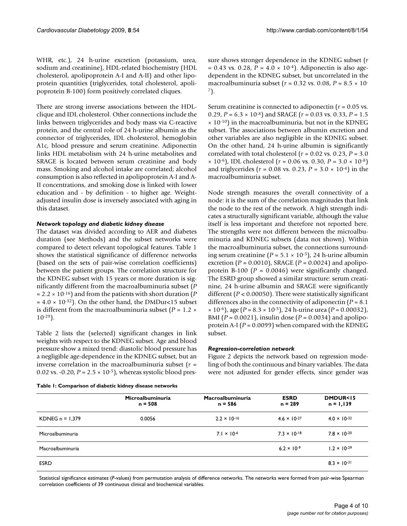WHR, etc.), 24 h-urine excretion (potassium, urea, sodium and creatinine), HDL-related biochemistry (HDL cholesterol, apolipoprotein A-I and A-II) and other lipoprotein quantities (triglycerides, total cholesterol, apolipoprotein B-100) form positively correlated cliques.

There are strong inverse associations between the HDLclique and IDL cholesterol. Other connections include the links between triglycerides and body mass via C-reactive protein, and the central role of 24 h-urine albumin as the connector of triglycerides, IDL cholesterol, hemoglobin A1c, blood pressure and serum creatinine. Adiponectin links HDL metabolism with 24 h-urine metabolites and SRAGE is located between serum creatinine and body mass. Smoking and alcohol intake are correlated; alcohol consumption is also reflected in apolipoprotein A-I and A-II concentrations, and smoking dose is linked with lower education and - by definition - to higher age. Weightadjusted insulin dose is inversely associated with aging in this dataset.

#### *Network topology and diabetic kidney disease*

The dataset was divided according to AER and diabetes duration (see Methods) and the subset networks were compared to detect relevant topological features. Table 1 shows the statistical significance of difference networks (based on the sets of pair-wise correlation coefficients) between the patient groups. The correlation structure for the KDNEG subset with 15 years or more duration is significantly different from the macroalbuminuria subset (*P*  $= 2.2 \times 10^{-16}$ ) and from the patients with short duration (*P*)  $= 4.0 \times 10^{-32}$ ). On the other hand, the DMDur<15 subset is different from the macroalbuminuria subset  $(P = 1.2 \times$ 10-29).

Table 2 lists the (selected) significant changes in link weights with respect to the KDNEG subset. Age and blood pressure show a mixed trend: diastolic blood pressure has a negligible age-dependence in the KDNEG subset, but an inverse correlation in the macroalbuminuria subset (*r* = 0.02 vs. -0.20,  $P = 2.5 \times 10^{-5}$ , whereas systolic blood pres-

**Table 1: Comparison of diabetic kidney disease networks**

sure shows stronger dependence in the KDNEG subset (*r*  $= 0.43$  vs. 0.28,  $P = 4.0 \times 10^{-4}$ . Adiponectin is also agedependent in the KDNEG subset, but uncorrelated in the macroalbuminuria subset (*r* = 0.32 vs. 0.08, *P* = 8.5 × 10- 7).

Serum creatinine is connected to adiponectin (*r* = 0.05 vs. 0.29, *P* = 6.3 × 10-8) and SRAGE (*r* = 0.03 vs. 0.33, *P* = 1.5  $\times$  10<sup>-10</sup>) in the macroalbuminuria, but not in the KDNEG subset. The associations between albumin excretion and other variables are also negligible in the KDNEG subset. On the other hand, 24 h-urine albumin is significantly correlated with total cholesterol ( $r = 0.02$  vs. 0.23,  $P = 3.0$  $\times$  10<sup>-6</sup>), IDL cholesterol ( $r = 0.06$  vs. 0.30,  $P = 3.0 \times 10^{-8}$ ) and triglycerides ( $r = 0.08$  vs. 0.23,  $P = 3.0 \times 10^{-4}$ ) in the macroalbuminuria subset.

Node strength measures the overall connectivity of a node: it is the sum of the correlation magnitudes that link the node to the rest of the network. A high strength indicates a structurally significant variable, although the value itself is less important and therefore not reported here. The strengths were not different between the microalbuminuria and KDNEG subsets (data not shown). Within the macroalbuminuria subset, the connections surrounding serum creatinine ( $P = 5.1 \times 10^{-5}$ ), 24 h-urine albumin excretion (*P* = 0.0010), SRAGE (*P* = 0.0024) and apolipoprotein B-100  $(P = 0.0046)$  were significantly changed. The ESRD group showed a similar structure: serum creatinine, 24 h-urine albumin and SRAGE were significantly different (*P* < 0.00050). There were statistically significant differences also in the connectivity of adiponectin (*P* = 8.1 × 10-6), age (*P* = 8.3 × 10-5), 24 h-urine urea (*P* = 0.00032), BMI (*P* = 0.0021), insulin dose (*P* = 0.0034) and apolipoprotein A-I (*P* = 0.0099) when compared with the KDNEG subset.

#### *Regression-correlation network*

Figure 2 depicts the network based on regression modeling of both the continuous and binary variables. The data were not adjusted for gender effects, since gender was

|                   | Microalbuminuria<br>$n = 508$ | <b>Macroalbuminuria</b><br>$n = 586$ | <b>ESRD</b><br>$n = 289$ | <b>DMDUR&lt;15</b><br>$n = 1,139$ |
|-------------------|-------------------------------|--------------------------------------|--------------------------|-----------------------------------|
| KDNEG $n = 1,379$ | 0.0056                        | $2.2 \times 10^{-16}$                | $4.6 \times 10^{-27}$    | $4.0 \times 10^{-32}$             |
| Microalbuminuria  |                               | $7.1 \times 10^{-6}$                 | $7.3 \times 10^{-18}$    | $7.8 \times 10^{-20}$             |
| Macroalbuminuria  |                               |                                      | $6.2 \times 10^{-9}$     | $1.2 \times 10^{-29}$             |
| <b>ESRD</b>       |                               |                                      |                          | $8.3 \times 10^{-31}$             |

Statistical significance estimates (*P*-values) from permutation analysis of difference networks. The networks were formed from pair-wise Spearman correlation coefficients of 39 continuous clinical and biochemical variables.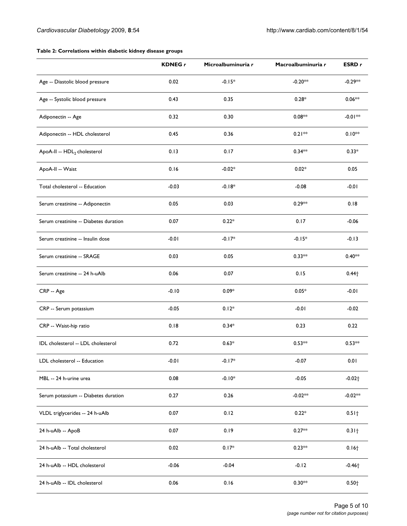# **Table 2: Correlations within diabetic kidney disease groups**

|                                         | <b>KDNEG</b> r | Microalbuminuria r | Macroalbuminuria r | ESRD r               |
|-----------------------------------------|----------------|--------------------|--------------------|----------------------|
| Age -- Diastolic blood pressure         | 0.02           | $-0.15*$           | $-0.20**$          | $-0.29**$            |
| Age -- Systolic blood pressure          | 0.43           | 0.35               | $0.28*$            | $0.06**$             |
| Adiponectin -- Age                      | 0.32           | 0.30               | $0.08**$           | $-0.01**$            |
| Adiponectin -- HDL cholesterol          | 0.45           | 0.36               | $0.21**$           | $0.10**$             |
| ApoA-II -- HDL <sub>2</sub> cholesterol | 0.13           | 0.17               | $0.34**$           | $0.33*$              |
| ApoA-II -- Waist                        | 0.16           | $-0.02*$           | $0.02*$            | 0.05                 |
| Total cholesterol -- Education          | $-0.03$        | $-0.18*$           | $-0.08$            | $-0.01$              |
| Serum creatinine -- Adiponectin         | 0.05           | 0.03               | $0.29**$           | 0.18                 |
| Serum creatinine -- Diabetes duration   | 0.07           | $0.22*$            | 0.17               | $-0.06$              |
| Serum creatinine -- Insulin dose        | $-0.01$        | $-0.17*$           | $-0.15*$           | $-0.13$              |
| Serum creatinine -- SRAGE               | 0.03           | 0.05               | $0.33**$           | $0.40**$             |
| Serum creatinine -- 24 h-uAlb           | 0.06           | 0.07               | 0.15               | $0.44\dagger$        |
| CRP -- Age                              | $-0.10$        | $0.09*$            | $0.05*$            | $-0.01$              |
| CRP -- Serum potassium                  | $-0.05$        | $0.12*$            | $-0.01$            | $-0.02$              |
| CRP -- Waist-hip ratio                  | 0.18           | $0.34*$            | 0.23               | 0.22                 |
| IDL cholesterol -- LDL cholesterol      | 0.72           | $0.63*$            | $0.53**$           | $0.53**$             |
| LDL cholesterol -- Education            | $-0.01$        | $-0.17*$           | $-0.07$            | 0.01                 |
| MBL -- 24 h-urine urea                  | 0.08           | $-0.10*$           | $-0.05$            | $-0.02 +$            |
| Serum potassium -- Diabetes duration    | 0.27           | 0.26               | $-0.02**$          | $-0.02**$            |
| VLDL triglycerides -- 24 h-uAlb         | 0.07           | 0.12               | $0.22*$            | $0.51 +$             |
| 24 h-uAlb -- ApoB                       | 0.07           | 0.19               | $0.27**$           | $0.31 +$             |
| 24 h-uAlb -- Total cholesterol          | 0.02           | $0.17*$            | $0.23**$           | $0.16 +$             |
| 24 h-uAlb -- HDL cholesterol            | $-0.06$        | $-0.04$            | $-0.12$            | $-0.46$ <sup>+</sup> |
| 24 h-uAlb -- IDL cholesterol            | 0.06           | 0.16               | $0.30**$           | $0.50 +$             |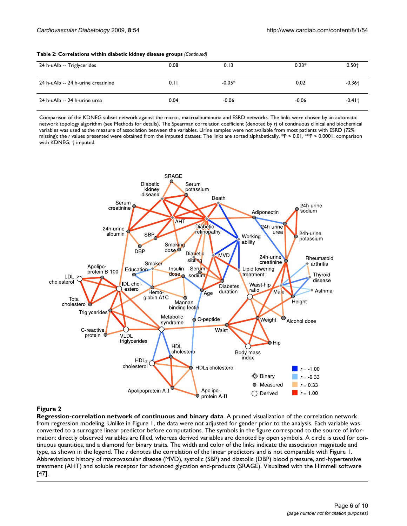#### **Table 2: Correlations within diabetic kidney disease groups** *(Continued)*

| 24 h-uAlb -- Triglycerides         | 0.08 | 0.13     | $0.23*$ | $0.50+$   |
|------------------------------------|------|----------|---------|-----------|
| 24 h-uAlb -- 24 h-urine creatinine | 0.11 | $-0.05*$ | 0.02    | $-0.36 +$ |
| 24 h-uAlb -- 24 h-urine urea       | 0.04 | $-0.06$  | $-0.06$ | $-0.41 +$ |

Comparison of the KDNEG subset network against the micro-, macroalbuminuria and ESRD networks. The links were chosen by an automatic network topology algorithm (see Methods for details). The Spearman correlation coefficient (denoted by *r*) of continuous clinical and biochemical variables was used as the measure of association between the variables. Urine samples were not available from most patients with ESRD (72% missing); the *r* values presented were obtained from the imputed dataset. The links are sorted alphabetically. \*P < 0.01, \*\*P < 0.0001, comparison with KDNEG; † imputed.



### **Figure 2**

**Regression-correlation network of continuous and binary data**. A pruned visualization of the correlation network from regression modeling. Unlike in Figure 1, the data were not adjusted for gender prior to the analysis. Each variable was converted to a surrogate linear predictor before computations. The symbols in the figure correspond to the source of information: directly observed variables are filled, whereas derived variables are denoted by open symbols. A circle is used for continuous quantities, and a diamond for binary traits. The width and color of the links indicate the association magnitude and type, as shown in the legend. The *r* denotes the correlation of the linear predictors and is not comparable with Figure 1. Abbreviations: history of macrovascular disease (MVD), systolic (SBP) and diastolic (DBP) blood pressure, anti-hypertensive treatment (AHT) and soluble receptor for advanced glycation end-products (SRAGE). Visualized with the Himmeli software [47].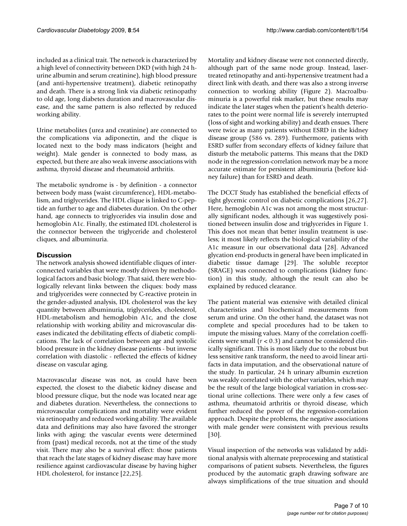included as a clinical trait. The network is characterized by a high level of connectivity between DKD (with high 24 hurine albumin and serum creatinine), high blood pressure (and anti-hypertensive treatment), diabetic retinopathy and death. There is a strong link via diabetic retinopathy to old age, long diabetes duration and macrovascular disease, and the same pattern is also reflected by reduced working ability.

Urine metabolites (urea and creatinine) are connected to the complications via adiponectin, and the clique is located next to the body mass indicators (height and weight). Male gender is connected to body mass, as expected, but there are also weak inverse associations with asthma, thyroid disease and rheumatoid arthritis.

The metabolic syndrome is - by definition - a connector between body mass (waist circumference), HDL-metabolism, and triglycerides. The HDL clique is linked to C-peptide an further to age and diabetes duration. On the other hand, age connects to triglycerides via insulin dose and hemoglobin A1c. Finally, the estimated IDL cholesterol is the connector between the triglyceride and cholesterol cliques, and albuminuria.

# **Discussion**

The network analysis showed identifiable cliques of interconnected variables that were mostly driven by methodological factors and basic biology. That said, there were biologically relevant links between the cliques: body mass and triglycerides were connected by C-reactive protein in the gender-adjusted analysis, IDL cholesterol was the key quantity between albuminuria, triglycerides, cholesterol, HDL-metabolism and hemoglobin A1c, and the close relationship with working ability and microvascular diseases indicated the debilitating effects of diabetic complications. The lack of correlation between age and systolic blood pressure in the kidney disease patients - but inverse correlation with diastolic - reflected the effects of kidney disease on vascular aging.

Macrovascular disease was not, as could have been expected, the closest to the diabetic kidney disease and blood pressure clique, but the node was located near age and diabetes duration. Nevertheless, the connections to microvascular complications and mortality were evident via retinopathy and reduced working ability. The available data and definitions may also have favored the stronger links with aging: the vascular events were determined from (past) medical records, not at the time of the study visit. There may also be a survival effect: those patients that reach the late stages of kidney disease may have more resilience against cardiovascular disease by having higher HDL cholesterol, for instance [22,25].

Mortality and kidney disease were not connected directly, although part of the same node group. Instead, lasertreated retinopathy and anti-hypertensive treatment had a direct link with death, and there was also a strong inverse connection to working ability (Figure 2). Macroalbuminuria is a powerful risk marker, but these results may indicate the later stages when the patient's health deteriorates to the point were normal life is severely interrupted (loss of sight and working ability) and death ensues. There were twice as many patients without ESRD in the kidney disease group (586 vs. 289). Furthermore, patients with ESRD suffer from secondary effects of kidney failure that disturb the metabolic patterns. This means that the DKD node in the regression-correlation network may be a more accurate estimate for persistent albuminuria (before kidney failure) than for ESRD and death.

The DCCT Study has established the beneficial effects of tight glycemic control on diabetic complications [26,27]. Here, hemoglobin A1c was not among the most structurally significant nodes, although it was suggestively positioned between insulin dose and triglycerides in Figure 1. This does not mean that better insulin treatment is useless; it most likely reflects the biological variability of the A1c measure in our observational data [28]. Advanced glycation end-products in general have been implicated in diabetic tissue damage [29]. The soluble receptor (SRAGE) was connected to complications (kidney function) in this study, although the result can also be explained by reduced clearance.

The patient material was extensive with detailed clinical characteristics and biochemical measurements from serum and urine. On the other hand, the dataset was not complete and special procedures had to be taken to impute the missing values. Many of the correlation coefficients were small  $(r < 0.3)$  and cannot be considered clinically significant. This is most likely due to the robust but less sensitive rank transform, the need to avoid linear artifacts in data imputation, and the observational nature of the study. In particular, 24 h urinary albumin excretion was weakly correlated with the other variables, which may be the result of the large biological variation in cross-sectional urine collections. There were only a few cases of asthma, rheumatoid arthritis or thyroid disease, which further reduced the power of the regression-correlation approach. Despite the problems, the negative associations with male gender were consistent with previous results [30].

Visual inspection of the networks was validated by additional analysis with alternate preprocessing and statistical comparisons of patient subsets. Nevertheless, the figures produced by the automatic graph drawing software are always simplifications of the true situation and should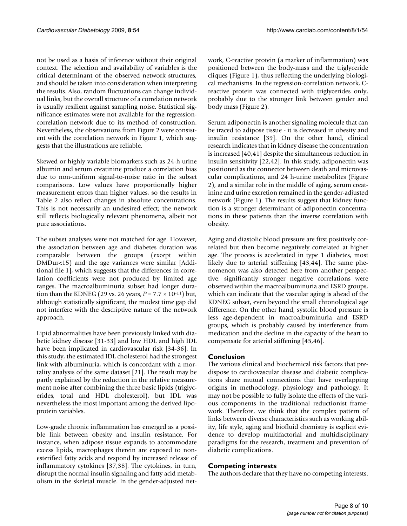not be used as a basis of inference without their original context. The selection and availability of variables is the critical determinant of the observed network structures, and should be taken into consideration when interpreting the results. Also, random fluctuations can change individual links, but the overall structure of a correlation network is usually resilient against sampling noise. Statistical significance estimates were not available for the regressioncorrelation network due to its method of construction. Nevertheless, the observations from Figure 2 were consistent with the correlation network in Figure 1, which suggests that the illustrations are reliable.

Skewed or highly variable biomarkers such as 24-h urine albumin and serum creatinine produce a correlation bias due to non-uniform signal-to-noise ratio in the subset comparisons. Low values have proportionally higher measurement errors than higher values, so the results in Table 2 also reflect changes in absolute concentrations. This is not necessarily an undesired effect; the network still reflects biologically relevant phenomena, albeit not pure associations.

The subset analyses were not matched for age. However, the association between age and diabetes duration was comparable between the groups (except within DMDur<15) and the age variances were similar [Additional file 1], which suggests that the differences in correlation coefficients were not produced by limited age ranges. The macroalbuminuria subset had longer duration than the KDNEG (29 vs. 26 years,  $P = 7.7 \times 10^{-11}$ ) but, although statistically significant, the modest time gap did not interfere with the descriptive nature of the network approach.

Lipid abnormalities have been previously linked with diabetic kidney disease [31-33] and low HDL and high IDL have been implicated in cardiovascular risk [34-36]. In this study, the estimated IDL cholesterol had the strongest link with albuminuria, which is concordant with a mortality analysis of the same dataset [[21\]](#page-8-0). The result may be partly explained by the reduction in the relative measurement noise after combining the three basic lipids (triglycerides, total and HDL cholesterol), but IDL was nevertheless the most important among the derived lipoprotein variables.

Low-grade chronic inflammation has emerged as a possible link between obesity and insulin resistance. For instance, when adipose tissue expands to accommodate excess lipids, macrophages therein are exposed to nonesterified fatty acids and respond by increased release of inflammatory cytokines [37,38]. The cytokines, in turn, disrupt the normal insulin signaling and fatty acid metabolism in the skeletal muscle. In the gender-adjusted network, C-reactive protein (a marker of inflammation) was positioned between the body-mass and the triglyceride cliques (Figure 1), thus reflecting the underlying biological mechanisms. In the regression-correlation network, Creactive protein was connected with triglycerides only, probably due to the stronger link between gender and body mass (Figure 2).

Serum adiponectin is another signaling molecule that can be traced to adipose tissue - it is decreased in obesity and insulin resistance [39]. On the other hand, clinical research indicates that in kidney disease the concentration is increased [40,41] despite the simultaneous reduction in insulin sensitivity [22,42]. In this study, adiponectin was positioned as the connector between death and microvascular complications, and 24 h-urine metabolites (Figure 2), and a similar role in the middle of aging, serum creatinine and urine excretion remained in the gender-adjusted network (Figure 1). The results suggest that kidney function is a stronger determinant of adiponectin concentrations in these patients than the inverse correlation with obesity.

Aging and diastolic blood pressure are first positively correlated but then become negatively correlated at higher age. The process is accelerated in type 1 diabetes, most likely due to arterial stiffening [43,44]. The same phenomenon was also detected here from another perspective: significantly stronger negative correlations were observed within the macroalbuminuria and ESRD groups, which can indicate that the vascular aging is ahead of the KDNEG subset, even beyond the small chronological age difference. On the other hand, systolic blood pressure is less age-dependent in macroalbuminuria and ESRD groups, which is probably caused by interference from medication and the decline in the capacity of the heart to compensate for arterial stiffening [45,46].

# **Conclusion**

The various clinical and biochemical risk factors that predispose to cardiovascular disease and diabetic complications share mutual connections that have overlapping origins in methodology, physiology and pathology. It may not be possible to fully isolate the effects of the various components in the traditional reductionist framework. Therefore, we think that the complex pattern of links between diverse characteristics such as working ability, life style, aging and biofluid chemistry is explicit evidence to develop multifactorial and multidisciplinary paradigms for the research, treatment and prevention of diabetic complications.

# **Competing interests**

The authors declare that they have no competing interests.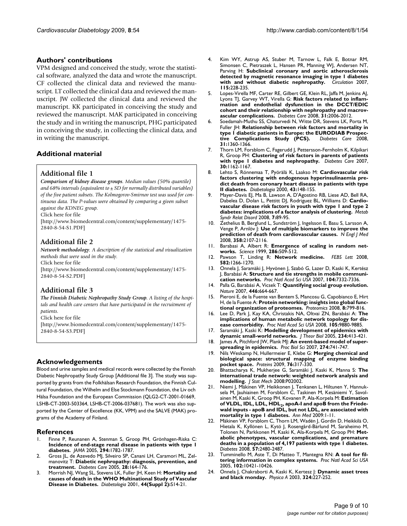## **Authors' contributions**

VPM designed and conceived the study, wrote the statistical software, analyzed the data and wrote the manuscript. CF collected the clinical data and reviewed the manuscript. LT collected the clinical data and reviewed the manuscript. JW collected the clinical data and reviewed the manuscript. KK participated in conceiving the study and reviewed the manuscript. MAK participated in conceiving the study and in writing the manuscript, PHG participated in conceiving the study, in collecting the clinical data, and in writing the manuscript.

# **Additional material**

## **Additional file 1**

*Comparison of kidney disease groups. Median values (50% quantile) and 68% intervals (equivalent to ± SD for normally distributed variables) of the five patient subsets. The Kolmogorov-Smirnov test was used for continuous data. The P-values were obtained by comparing a given subset against the KDNEG group.* Click here for file

[\[http://www.biomedcentral.com/content/supplementary/1475-](http://www.biomedcentral.com/content/supplementary/1475-2840-8-54-S1.PDF) 2840-8-54-S1.PDF]

# **Additional file 2**

*Network methodology. A description of the statistical and visualization methods that were used in the study.*

Click here for file

[\[http://www.biomedcentral.com/content/supplementary/1475-](http://www.biomedcentral.com/content/supplementary/1475-2840-8-54-S2.PDF) 2840-8-54-S2.PDF]

# **Additional file 3**

*The Finnish Diabetic Nephropathy Study Group. A listing of the hospitals and health care centers that have participated in the recruitment of patients.*

Click here for file

[\[http://www.biomedcentral.com/content/supplementary/1475-](http://www.biomedcentral.com/content/supplementary/1475-2840-8-54-S3.PDF) 2840-8-54-S3.PDF]

### **Acknowledgements**

Blood and urine samples and medical records were collected by the Finnish Diabetic Nephropathy Study Group [Additional file 3]. The study was supported by grants from the Folkhälsan Research Foundation, the Finnish Cultural Foundation, the Wilhelm and Else Stockmann Foundation, the Liv och Hälsa Foundation and the European Commission (QLG2-CT-2001-01669, LSHB-CT-2003-503364, LSHB-CT-2006-037681). The work was also supported by the Center of Excellence (KK, VPM) and the SALVE (MAK) programs of the Academy of Finland.

### **References**

- 1. Finne P, Reunanen A, Stenman S, Groop PH, Grönhagen-Riska C: **[Incidence of end-stage renal disease in patients with type 1](http://www.ncbi.nlm.nih.gov/entrez/query.fcgi?cmd=Retrieve&db=PubMed&dopt=Abstract&list_uids=16219881) [diabetes.](http://www.ncbi.nlm.nih.gov/entrez/query.fcgi?cmd=Retrieve&db=PubMed&dopt=Abstract&list_uids=16219881)** *JAMA* 2005, **294:**1782-1787.
- 2. Gross JL, de Azevedo MJ, Silveiro SP, Canani LH, Caramori ML, Zelmanovitz T: **[Diabetic nephropathy: diagnosis, prevention, and](http://www.ncbi.nlm.nih.gov/entrez/query.fcgi?cmd=Retrieve&db=PubMed&dopt=Abstract&list_uids=15616252) [treatment.](http://www.ncbi.nlm.nih.gov/entrez/query.fcgi?cmd=Retrieve&db=PubMed&dopt=Abstract&list_uids=15616252)** *Diabetes Care* 2005, **28:**164-176.
- 3. Morrish NJ, Wang SL, Stevens LK, Fuller JH, Keen H: **[Mortality and](http://www.ncbi.nlm.nih.gov/entrez/query.fcgi?cmd=Retrieve&db=PubMed&dopt=Abstract&list_uids=11587045) [causes of death in the WHO Multinational Study of Vascular](http://www.ncbi.nlm.nih.gov/entrez/query.fcgi?cmd=Retrieve&db=PubMed&dopt=Abstract&list_uids=11587045) [Disease in Diabetes.](http://www.ncbi.nlm.nih.gov/entrez/query.fcgi?cmd=Retrieve&db=PubMed&dopt=Abstract&list_uids=11587045)** *Diabetologia* 2001, **44(Suppl 2):**S14-21.
- 4. Kim WY, Astrup AS, Stuber M, Tarnow L, Falk E, Botnar RM, Simonsen C, Pietraszek L, Hansen PR, Manning WJ, Andersen NT, Parving H: **[Subclinical coronary and aortic atherosclerosis](http://www.ncbi.nlm.nih.gov/entrez/query.fcgi?cmd=Retrieve&db=PubMed&dopt=Abstract&list_uids=17190865) [detected by magnetic resonance imaging in type 1 diabetes](http://www.ncbi.nlm.nih.gov/entrez/query.fcgi?cmd=Retrieve&db=PubMed&dopt=Abstract&list_uids=17190865) [with and without diabetic nephropathy.](http://www.ncbi.nlm.nih.gov/entrez/query.fcgi?cmd=Retrieve&db=PubMed&dopt=Abstract&list_uids=17190865)** *Circulation* 2007, **115:**228-235.
- 5. Lopes-Virella MF, Carter RE, Gilbert GE, Klein RL, Jaffa M, Jenkins AJ, Lyons TJ, Garvey WT, Virella G: **[Risk factors related to inflam](http://www.ncbi.nlm.nih.gov/entrez/query.fcgi?cmd=Retrieve&db=PubMed&dopt=Abstract&list_uids=18628568)[mation and endothelial dysfunction in the DCCT/EDIC](http://www.ncbi.nlm.nih.gov/entrez/query.fcgi?cmd=Retrieve&db=PubMed&dopt=Abstract&list_uids=18628568) cohort and their relationship with nephropathy and macrov[ascular complications.](http://www.ncbi.nlm.nih.gov/entrez/query.fcgi?cmd=Retrieve&db=PubMed&dopt=Abstract&list_uids=18628568)** *Diabetes Care* 2008, **31:**2006-2012.
- 6. Soedamah-Muthu SS, Chaturvedi N, Witte DR, Stevens LK, Porta M, Fuller JH: **[Relationship between risk factors and mortality in](http://www.ncbi.nlm.nih.gov/entrez/query.fcgi?cmd=Retrieve&db=PubMed&dopt=Abstract&list_uids=18375412)** type I diabetic patients in Europe: the **EURODIAB Prospective** Complications Study (PCS). Diabetes Care 2008. [tive Complications Study \(PCS\).](http://www.ncbi.nlm.nih.gov/entrez/query.fcgi?cmd=Retrieve&db=PubMed&dopt=Abstract&list_uids=18375412) **31:**1360-1366.
- 7. Thorn LM, Forsblom C, Fagerudd J, Pettersson-Fernholm K, Kilpikari R, Groop PH: **[Clustering of risk factors in parents of patients](http://www.ncbi.nlm.nih.gov/entrez/query.fcgi?cmd=Retrieve&db=PubMed&dopt=Abstract&list_uids=17337502) [with type 1 diabetes and nephropathy.](http://www.ncbi.nlm.nih.gov/entrez/query.fcgi?cmd=Retrieve&db=PubMed&dopt=Abstract&list_uids=17337502)** *Diabetes Care* 2007, **30:**1162-1167.
- 8. Lehto S, Rönnemaa T, Pyörälä K, Laakso M: **[Cardiovascular risk](http://www.ncbi.nlm.nih.gov/entrez/query.fcgi?cmd=Retrieve&db=PubMed&dopt=Abstract&list_uids=10753035) [factors clustering with endogenous hyperinsulinaemia pre](http://www.ncbi.nlm.nih.gov/entrez/query.fcgi?cmd=Retrieve&db=PubMed&dopt=Abstract&list_uids=10753035)dict death from coronary heart disease in patients with type [II diabetes.](http://www.ncbi.nlm.nih.gov/entrez/query.fcgi?cmd=Retrieve&db=PubMed&dopt=Abstract&list_uids=10753035)** *Diabetologia* 2000, **43:**148-155.
- 9. Mayer-Davis EJ, Ma B, Lawson A, D'Agostino RB, Liese AD, Bell RA, Dabelea D, Dolan L, Pettitt DJ, Rodriguez BL, Williams D: **Cardiovascular disease risk factors in youth with type 1 and type 2 diabetes: implications of a factor analysis of clustering.** *Metab Syndr Relat Disord* 2008, **7:**89-95.
- 10. Zethelius B, Berglund L, Sundström J, Ingelsson E, Basu S, Larsson A, Venge P, Arnlöv J: **[Use of multiple biomarkers to improve the](http://www.ncbi.nlm.nih.gov/entrez/query.fcgi?cmd=Retrieve&db=PubMed&dopt=Abstract&list_uids=18480203) [prediction of death from cardiovascular causes.](http://www.ncbi.nlm.nih.gov/entrez/query.fcgi?cmd=Retrieve&db=PubMed&dopt=Abstract&list_uids=18480203)** *N Engl J Med* 2008, **358:**2107-2116.
- 11. Barabasi A, Albert R: **[Emergence of scaling in random net](http://www.ncbi.nlm.nih.gov/entrez/query.fcgi?cmd=Retrieve&db=PubMed&dopt=Abstract&list_uids=10521342)[works.](http://www.ncbi.nlm.nih.gov/entrez/query.fcgi?cmd=Retrieve&db=PubMed&dopt=Abstract&list_uids=10521342)** *Science* 1999, **286:**509-512.
- 12. Pawson T, Linding R: **[Network medicine.](http://www.ncbi.nlm.nih.gov/entrez/query.fcgi?cmd=Retrieve&db=PubMed&dopt=Abstract&list_uids=18282479)** *FEBS Lett* 2008, **582:**1266-1270.
- 13. Onnela J, Saramäki J, Hyvönen J, Szabó G, Lazer D, Kaski K, Kertész J, Barabási A: **[Structure and tie strengths in mobile communi](http://www.ncbi.nlm.nih.gov/entrez/query.fcgi?cmd=Retrieve&db=PubMed&dopt=Abstract&list_uids=17456605)[cation networks.](http://www.ncbi.nlm.nih.gov/entrez/query.fcgi?cmd=Retrieve&db=PubMed&dopt=Abstract&list_uids=17456605)** *Proc Natl Acad Sci USA* 2007, **104:**7332-7336.
- 14. Palla G, Barabási A, Vicsek T: **[Quantifying social group evolution.](http://www.ncbi.nlm.nih.gov/entrez/query.fcgi?cmd=Retrieve&db=PubMed&dopt=Abstract&list_uids=17410175)** *Nature* 2007, **446:**664-667.
- 15. Pieroni E, de la Fuente van Bentem S, Mancosu G, Capobianco E, Hirt H, de la Fuente A: **[Protein networking: insights into global func](http://www.ncbi.nlm.nih.gov/entrez/query.fcgi?cmd=Retrieve&db=PubMed&dopt=Abstract&list_uids=18297653)[tional organization of proteomes.](http://www.ncbi.nlm.nih.gov/entrez/query.fcgi?cmd=Retrieve&db=PubMed&dopt=Abstract&list_uids=18297653)** *Proteomics* 2008, **8:**799-816.
- 16. Lee D, Park J, Kay KA, Christakis NA, Oltvai ZN, Barabási A: **[The](http://www.ncbi.nlm.nih.gov/entrez/query.fcgi?cmd=Retrieve&db=PubMed&dopt=Abstract&list_uids=18599447) [implications of human metabolic network topology for dis](http://www.ncbi.nlm.nih.gov/entrez/query.fcgi?cmd=Retrieve&db=PubMed&dopt=Abstract&list_uids=18599447)[ease comorbidity.](http://www.ncbi.nlm.nih.gov/entrez/query.fcgi?cmd=Retrieve&db=PubMed&dopt=Abstract&list_uids=18599447)** *Proc Natl Acad Sci USA* 2008, **105:**9880-9885.
- 17. Saramäki J, Kaski K: **[Modelling development of epidemics with](http://www.ncbi.nlm.nih.gov/entrez/query.fcgi?cmd=Retrieve&db=PubMed&dopt=Abstract&list_uids=15784275) [dynamic small-world networks.](http://www.ncbi.nlm.nih.gov/entrez/query.fcgi?cmd=Retrieve&db=PubMed&dopt=Abstract&list_uids=15784275)** *J Theor Biol* 2005, **234:**413-421.
- 18. James A, Pitchford JW, Plank MJ: **[An event-based model of super](http://www.ncbi.nlm.nih.gov/entrez/query.fcgi?cmd=Retrieve&db=PubMed&dopt=Abstract&list_uids=17255000)[spreading in epidemics.](http://www.ncbi.nlm.nih.gov/entrez/query.fcgi?cmd=Retrieve&db=PubMed&dopt=Abstract&list_uids=17255000)** *Proc Biol Sci* 2007, **274:**741-747.
- 19. Nils Weskamp N, Hullermeier E, Klebe G: **[Merging chemical and](http://www.ncbi.nlm.nih.gov/entrez/query.fcgi?cmd=Retrieve&db=PubMed&dopt=Abstract&list_uids=19173307) [biological space: structural mapping of enzyme binding](http://www.ncbi.nlm.nih.gov/entrez/query.fcgi?cmd=Retrieve&db=PubMed&dopt=Abstract&list_uids=19173307) [pocket space.](http://www.ncbi.nlm.nih.gov/entrez/query.fcgi?cmd=Retrieve&db=PubMed&dopt=Abstract&list_uids=19173307)** *Proteins* 2009, **76:**317-330.
- 20. Bhattacharya K, Mukherjee G, Saramäki J, Kaski K, Manna S: **The international trade network: weighted network analysis and modelling.** *J Stat Mech* 2008:P02002.
- <span id="page-8-0"></span>21. Niemi J, Mäkinen VP, Heikkonen J, Tenkanen L, Hiltunen Y, Hannuksela M, Jauhiainen M, Forsblom C, Taskinen M, Kesäniemi Y, Savolainen M, Kaski K, Groop PH, Kovanen P, Ala-Korpela M: **Estimation of VLDL, IDL, LDL, HDL[2, apoA-I and apoB from the Friede](http://www.ncbi.nlm.nih.gov/entrez/query.fcgi?cmd=Retrieve&db=PubMed&dopt=Abstract&list_uids=19412820)[wald inputs - apoB and IDL, but not LDL, are associated with](http://www.ncbi.nlm.nih.gov/entrez/query.fcgi?cmd=Retrieve&db=PubMed&dopt=Abstract&list_uids=19412820) [mortality in type 1 diabetes.](http://www.ncbi.nlm.nih.gov/entrez/query.fcgi?cmd=Retrieve&db=PubMed&dopt=Abstract&list_uids=19412820)** *Ann Med* 2009:1-11.
- 22. Mäkinen VP, Forsblom C, Thorn LM, Wadén J, Gordin D, Heikkilä O, Hietala K, Kyllönen L, Kytö J, Rosengård-Bärlund M, Saraheimo M, Tolonen N, Parkkonen M, Kaski K, Ala-Korpela M, Groop PH: **[Met](http://www.ncbi.nlm.nih.gov/entrez/query.fcgi?cmd=Retrieve&db=PubMed&dopt=Abstract&list_uids=18544706)abolic phenotypes, vascular complications, and premature [deaths in a population of 4,197 patients with type 1 diabetes.](http://www.ncbi.nlm.nih.gov/entrez/query.fcgi?cmd=Retrieve&db=PubMed&dopt=Abstract&list_uids=18544706)** *Diabetes* 2008, **57:**2480-2487.
- 23. Tumminello M, Aste T, Di Matteo T, Mantegna RN: **[A tool for fil](http://www.ncbi.nlm.nih.gov/entrez/query.fcgi?cmd=Retrieve&db=PubMed&dopt=Abstract&list_uids=16027373)[tering information in complex systems.](http://www.ncbi.nlm.nih.gov/entrez/query.fcgi?cmd=Retrieve&db=PubMed&dopt=Abstract&list_uids=16027373)** *Proc Natl Acad Sci USA* 2005, **102:**10421-10426.
- 24. Onnela J, Chakraborti A, Kaski K, Kertesz J: **Dynamic asset trees and black monday.** *Physica A* 2003, **324:**227-252.